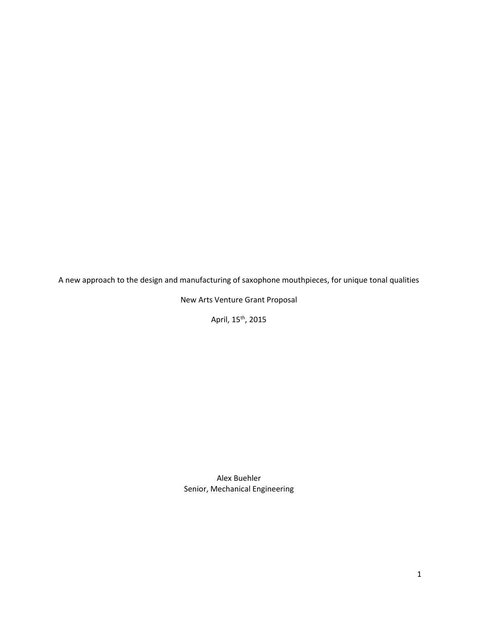A new approach to the design and manufacturing of saxophone mouthpieces, for unique tonal qualities

New Arts Venture Grant Proposal

April, 15<sup>th</sup>, 2015

Alex Buehler Senior, Mechanical Engineering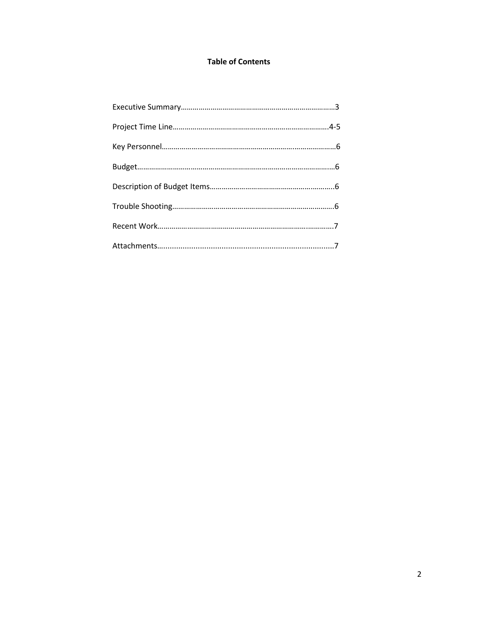# **Table of Contents**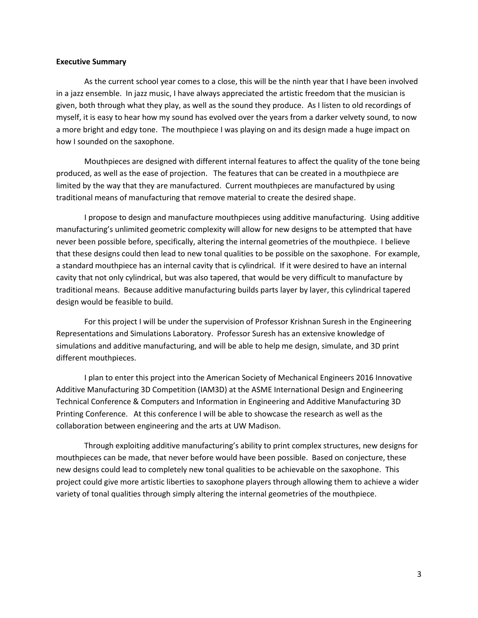#### **Executive Summary**

As the current school year comes to a close, this will be the ninth year that I have been involved in a jazz ensemble. In jazz music, I have always appreciated the artistic freedom that the musician is given, both through what they play, as well as the sound they produce. As I listen to old recordings of myself, it is easy to hear how my sound has evolved over the years from a darker velvety sound, to now a more bright and edgy tone. The mouthpiece I was playing on and its design made a huge impact on how I sounded on the saxophone.

Mouthpieces are designed with different internal features to affect the quality of the tone being produced, as well as the ease of projection. The features that can be created in a mouthpiece are limited by the way that they are manufactured. Current mouthpieces are manufactured by using traditional means of manufacturing that remove material to create the desired shape.

I propose to design and manufacture mouthpieces using additive manufacturing. Using additive manufacturing's unlimited geometric complexity will allow for new designs to be attempted that have never been possible before, specifically, altering the internal geometries of the mouthpiece. I believe that these designs could then lead to new tonal qualities to be possible on the saxophone. For example, a standard mouthpiece has an internal cavity that is cylindrical. If it were desired to have an internal cavity that not only cylindrical, but was also tapered, that would be very difficult to manufacture by traditional means. Because additive manufacturing builds parts layer by layer, this cylindrical tapered design would be feasible to build.

For this project I will be under the supervision of Professor Krishnan Suresh in the Engineering Representations and Simulations Laboratory. Professor Suresh has an extensive knowledge of simulations and additive manufacturing, and will be able to help me design, simulate, and 3D print different mouthpieces.

I plan to enter this project into the American Society of Mechanical Engineers 2016 Innovative Additive Manufacturing 3D Competition (IAM3D) at the ASME International Design and Engineering Technical Conference & Computers and Information in Engineering and Additive Manufacturing 3D Printing Conference. At this conference I will be able to showcase the research as well as the collaboration between engineering and the arts at UW Madison.

Through exploiting additive manufacturing's ability to print complex structures, new designs for mouthpieces can be made, that never before would have been possible. Based on conjecture, these new designs could lead to completely new tonal qualities to be achievable on the saxophone. This project could give more artistic liberties to saxophone players through allowing them to achieve a wider variety of tonal qualities through simply altering the internal geometries of the mouthpiece.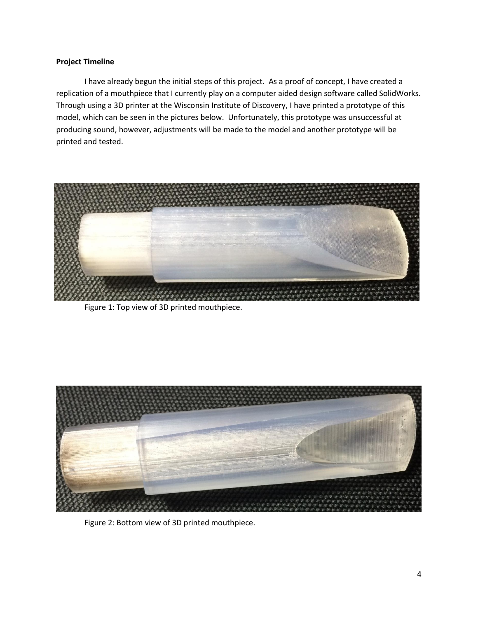## **Project Timeline**

I have already begun the initial steps of this project. As a proof of concept, I have created a replication of a mouthpiece that I currently play on a computer aided design software called SolidWorks. Through using a 3D printer at the Wisconsin Institute of Discovery, I have printed a prototype of this model, which can be seen in the pictures below. Unfortunately, this prototype was unsuccessful at producing sound, however, adjustments will be made to the model and another prototype will be printed and tested.



Figure 1: Top view of 3D printed mouthpiece.



Figure 2: Bottom view of 3D printed mouthpiece.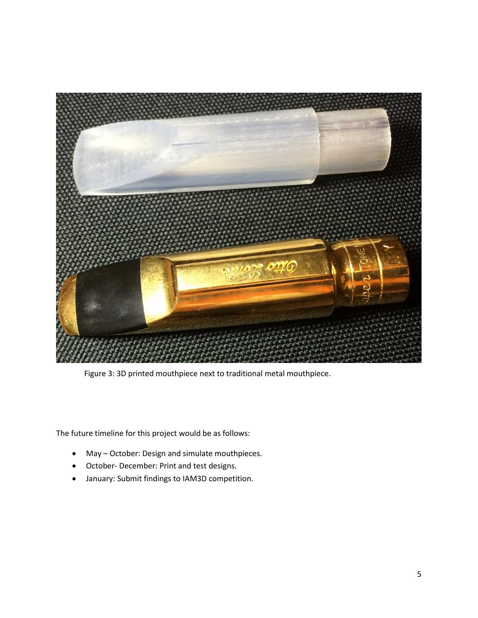

Figure 3: 3D printed mouthpiece next to traditional metal mouthpiece.

The future timeline for this project would be as follows:

- May October: Design and simulate mouthpieces.
- October- December: Print and test designs.
- January: Submit findings to IAM3D competition.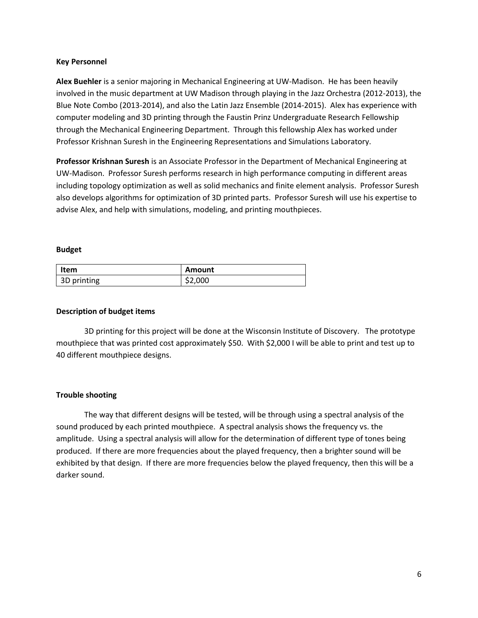### **Key Personnel**

**Alex Buehler** is a senior majoring in Mechanical Engineering at UW-Madison. He has been heavily involved in the music department at UW Madison through playing in the Jazz Orchestra (2012-2013), the Blue Note Combo (2013-2014), and also the Latin Jazz Ensemble (2014-2015). Alex has experience with computer modeling and 3D printing through the Faustin Prinz Undergraduate Research Fellowship through the Mechanical Engineering Department. Through this fellowship Alex has worked under Professor Krishnan Suresh in the Engineering Representations and Simulations Laboratory.

**Professor Krishnan Suresh** is an Associate Professor in the Department of Mechanical Engineering at UW-Madison. Professor Suresh performs research in high performance computing in different areas including topology optimization as well as solid mechanics and finite element analysis. Professor Suresh also develops algorithms for optimization of 3D printed parts. Professor Suresh will use his expertise to advise Alex, and help with simulations, modeling, and printing mouthpieces.

#### **Budget**

| <b>Item</b> | Amount  |
|-------------|---------|
| 3D printing | \$2,000 |

### **Description of budget items**

3D printing for this project will be done at the Wisconsin Institute of Discovery. The prototype mouthpiece that was printed cost approximately \$50. With \$2,000 I will be able to print and test up to 40 different mouthpiece designs.

## **Trouble shooting**

The way that different designs will be tested, will be through using a spectral analysis of the sound produced by each printed mouthpiece. A spectral analysis shows the frequency vs. the amplitude. Using a spectral analysis will allow for the determination of different type of tones being produced. If there are more frequencies about the played frequency, then a brighter sound will be exhibited by that design. If there are more frequencies below the played frequency, then this will be a darker sound.